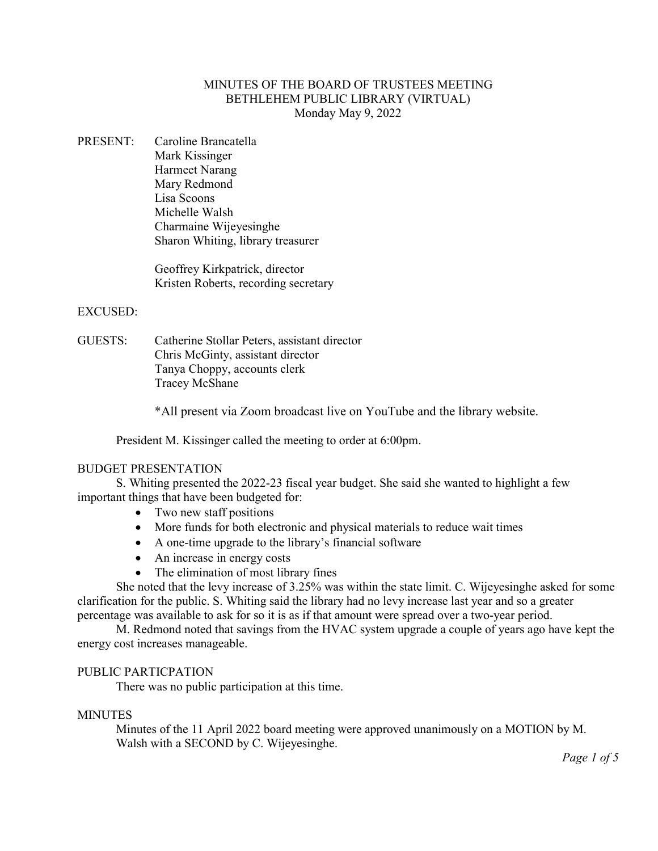# MINUTES OF THE BOARD OF TRUSTEES MEETING BETHLEHEM PUBLIC LIBRARY (VIRTUAL) Monday May 9, 2022

PRESENT: Caroline Brancatella Mark Kissinger Harmeet Narang Mary Redmond Lisa Scoons Michelle Walsh Charmaine Wijeyesinghe Sharon Whiting, library treasurer

> Geoffrey Kirkpatrick, director Kristen Roberts, recording secretary

# EXCUSED:

GUESTS: Catherine Stollar Peters, assistant director Chris McGinty, assistant director Tanya Choppy, accounts clerk Tracey McShane

\*All present via Zoom broadcast live on YouTube and the library website.

President M. Kissinger called the meeting to order at 6:00pm.

### BUDGET PRESENTATION

S. Whiting presented the 2022-23 fiscal year budget. She said she wanted to highlight a few important things that have been budgeted for:

- Two new staff positions
- More funds for both electronic and physical materials to reduce wait times
- A one-time upgrade to the library's financial software
- An increase in energy costs
- The elimination of most library fines

She noted that the levy increase of 3.25% was within the state limit. C. Wijeyesinghe asked for some clarification for the public. S. Whiting said the library had no levy increase last year and so a greater percentage was available to ask for so it is as if that amount were spread over a two-year period.

M. Redmond noted that savings from the HVAC system upgrade a couple of years ago have kept the energy cost increases manageable.

# PUBLIC PARTICPATION

There was no public participation at this time.

## **MINUTES**

Minutes of the 11 April 2022 board meeting were approved unanimously on a MOTION by M. Walsh with a SECOND by C. Wijeyesinghe.

*Page 1 of 5*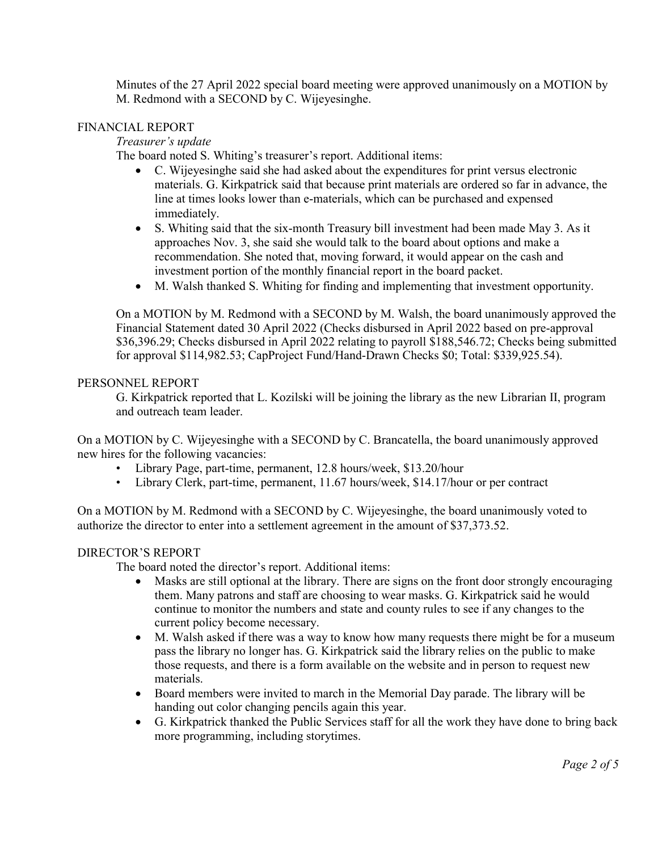Minutes of the 27 April 2022 special board meeting were approved unanimously on a MOTION by M. Redmond with a SECOND by C. Wijeyesinghe.

# FINANCIAL REPORT

*Treasurer's update*

The board noted S. Whiting's treasurer's report. Additional items:

- C. Wijeyesinghe said she had asked about the expenditures for print versus electronic materials. G. Kirkpatrick said that because print materials are ordered so far in advance, the line at times looks lower than e-materials, which can be purchased and expensed immediately.
- S. Whiting said that the six-month Treasury bill investment had been made May 3. As it approaches Nov. 3, she said she would talk to the board about options and make a recommendation. She noted that, moving forward, it would appear on the cash and investment portion of the monthly financial report in the board packet.
- M. Walsh thanked S. Whiting for finding and implementing that investment opportunity.

On a MOTION by M. Redmond with a SECOND by M. Walsh, the board unanimously approved the Financial Statement dated 30 April 2022 (Checks disbursed in April 2022 based on pre-approval \$36,396.29; Checks disbursed in April 2022 relating to payroll \$188,546.72; Checks being submitted for approval \$114,982.53; CapProject Fund/Hand-Drawn Checks \$0; Total: \$339,925.54).

# PERSONNEL REPORT

G. Kirkpatrick reported that L. Kozilski will be joining the library as the new Librarian II, program and outreach team leader.

On a MOTION by C. Wijeyesinghe with a SECOND by C. Brancatella, the board unanimously approved new hires for the following vacancies:

- Library Page, part-time, permanent, 12.8 hours/week, \$13.20/hour
- Library Clerk, part-time, permanent, 11.67 hours/week, \$14.17/hour or per contract

On a MOTION by M. Redmond with a SECOND by C. Wijeyesinghe, the board unanimously voted to authorize the director to enter into a settlement agreement in the amount of \$37,373.52.

# DIRECTOR'S REPORT

The board noted the director's report. Additional items:

- Masks are still optional at the library. There are signs on the front door strongly encouraging them. Many patrons and staff are choosing to wear masks. G. Kirkpatrick said he would continue to monitor the numbers and state and county rules to see if any changes to the current policy become necessary.
- M. Walsh asked if there was a way to know how many requests there might be for a museum pass the library no longer has. G. Kirkpatrick said the library relies on the public to make those requests, and there is a form available on the website and in person to request new materials.
- Board members were invited to march in the Memorial Day parade. The library will be handing out color changing pencils again this year.
- G. Kirkpatrick thanked the Public Services staff for all the work they have done to bring back more programming, including storytimes.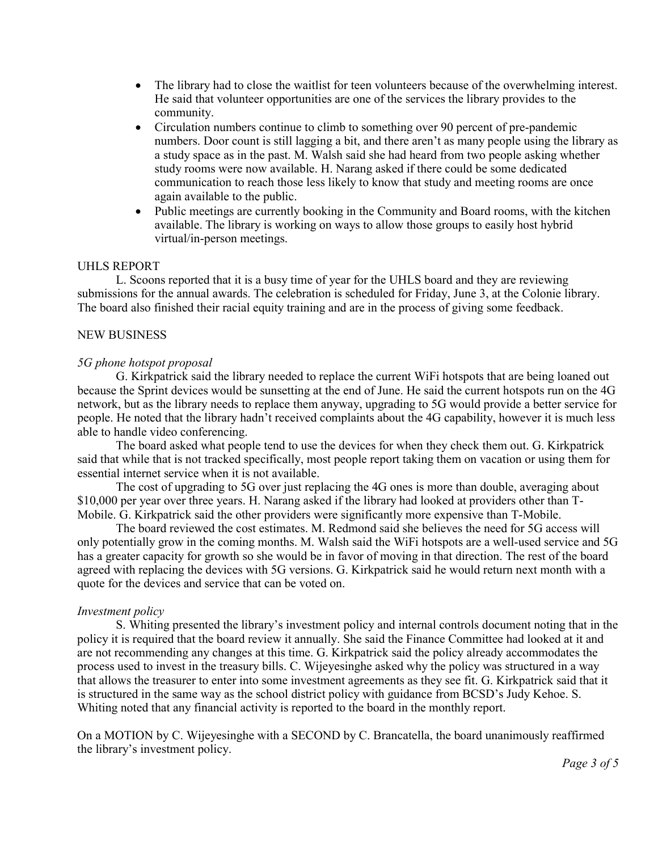- The library had to close the waitlist for teen volunteers because of the overwhelming interest. He said that volunteer opportunities are one of the services the library provides to the community.
- Circulation numbers continue to climb to something over 90 percent of pre-pandemic numbers. Door count is still lagging a bit, and there aren't as many people using the library as a study space as in the past. M. Walsh said she had heard from two people asking whether study rooms were now available. H. Narang asked if there could be some dedicated communication to reach those less likely to know that study and meeting rooms are once again available to the public.
- Public meetings are currently booking in the Community and Board rooms, with the kitchen available. The library is working on ways to allow those groups to easily host hybrid virtual/in-person meetings.

### UHLS REPORT

L. Scoons reported that it is a busy time of year for the UHLS board and they are reviewing submissions for the annual awards. The celebration is scheduled for Friday, June 3, at the Colonie library. The board also finished their racial equity training and are in the process of giving some feedback.

## NEW BUSINESS

## *5G phone hotspot proposal*

G. Kirkpatrick said the library needed to replace the current WiFi hotspots that are being loaned out because the Sprint devices would be sunsetting at the end of June. He said the current hotspots run on the 4G network, but as the library needs to replace them anyway, upgrading to 5G would provide a better service for people. He noted that the library hadn't received complaints about the 4G capability, however it is much less able to handle video conferencing.

The board asked what people tend to use the devices for when they check them out. G. Kirkpatrick said that while that is not tracked specifically, most people report taking them on vacation or using them for essential internet service when it is not available.

The cost of upgrading to 5G over just replacing the 4G ones is more than double, averaging about \$10,000 per year over three years. H. Narang asked if the library had looked at providers other than T-Mobile. G. Kirkpatrick said the other providers were significantly more expensive than T-Mobile.

The board reviewed the cost estimates. M. Redmond said she believes the need for 5G access will only potentially grow in the coming months. M. Walsh said the WiFi hotspots are a well-used service and 5G has a greater capacity for growth so she would be in favor of moving in that direction. The rest of the board agreed with replacing the devices with 5G versions. G. Kirkpatrick said he would return next month with a quote for the devices and service that can be voted on.

### *Investment policy*

S. Whiting presented the library's investment policy and internal controls document noting that in the policy it is required that the board review it annually. She said the Finance Committee had looked at it and are not recommending any changes at this time. G. Kirkpatrick said the policy already accommodates the process used to invest in the treasury bills. C. Wijeyesinghe asked why the policy was structured in a way that allows the treasurer to enter into some investment agreements as they see fit. G. Kirkpatrick said that it is structured in the same way as the school district policy with guidance from BCSD's Judy Kehoe. S. Whiting noted that any financial activity is reported to the board in the monthly report.

On a MOTION by C. Wijeyesinghe with a SECOND by C. Brancatella, the board unanimously reaffirmed the library's investment policy.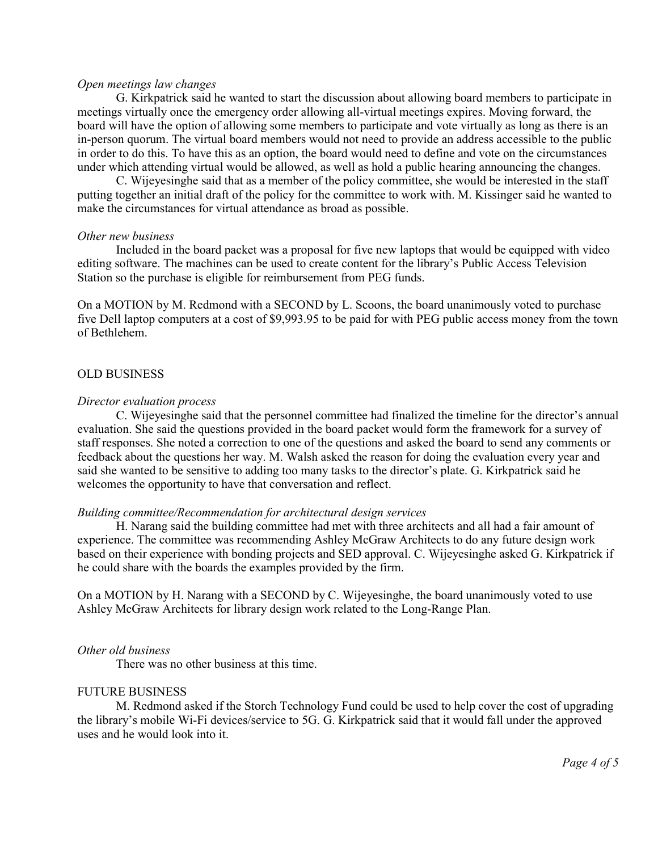#### *Open meetings law changes*

G. Kirkpatrick said he wanted to start the discussion about allowing board members to participate in meetings virtually once the emergency order allowing all-virtual meetings expires. Moving forward, the board will have the option of allowing some members to participate and vote virtually as long as there is an in-person quorum. The virtual board members would not need to provide an address accessible to the public in order to do this. To have this as an option, the board would need to define and vote on the circumstances under which attending virtual would be allowed, as well as hold a public hearing announcing the changes.

C. Wijeyesinghe said that as a member of the policy committee, she would be interested in the staff putting together an initial draft of the policy for the committee to work with. M. Kissinger said he wanted to make the circumstances for virtual attendance as broad as possible.

#### *Other new business*

Included in the board packet was a proposal for five new laptops that would be equipped with video editing software. The machines can be used to create content for the library's Public Access Television Station so the purchase is eligible for reimbursement from PEG funds.

On a MOTION by M. Redmond with a SECOND by L. Scoons, the board unanimously voted to purchase five Dell laptop computers at a cost of \$9,993.95 to be paid for with PEG public access money from the town of Bethlehem.

### OLD BUSINESS

### *Director evaluation process*

C. Wijeyesinghe said that the personnel committee had finalized the timeline for the director's annual evaluation. She said the questions provided in the board packet would form the framework for a survey of staff responses. She noted a correction to one of the questions and asked the board to send any comments or feedback about the questions her way. M. Walsh asked the reason for doing the evaluation every year and said she wanted to be sensitive to adding too many tasks to the director's plate. G. Kirkpatrick said he welcomes the opportunity to have that conversation and reflect.

### *Building committee/Recommendation for architectural design services*

H. Narang said the building committee had met with three architects and all had a fair amount of experience. The committee was recommending Ashley McGraw Architects to do any future design work based on their experience with bonding projects and SED approval. C. Wijeyesinghe asked G. Kirkpatrick if he could share with the boards the examples provided by the firm.

On a MOTION by H. Narang with a SECOND by C. Wijeyesinghe, the board unanimously voted to use Ashley McGraw Architects for library design work related to the Long-Range Plan.

### *Other old business*

There was no other business at this time.

## FUTURE BUSINESS

M. Redmond asked if the Storch Technology Fund could be used to help cover the cost of upgrading the library's mobile Wi-Fi devices/service to 5G. G. Kirkpatrick said that it would fall under the approved uses and he would look into it.